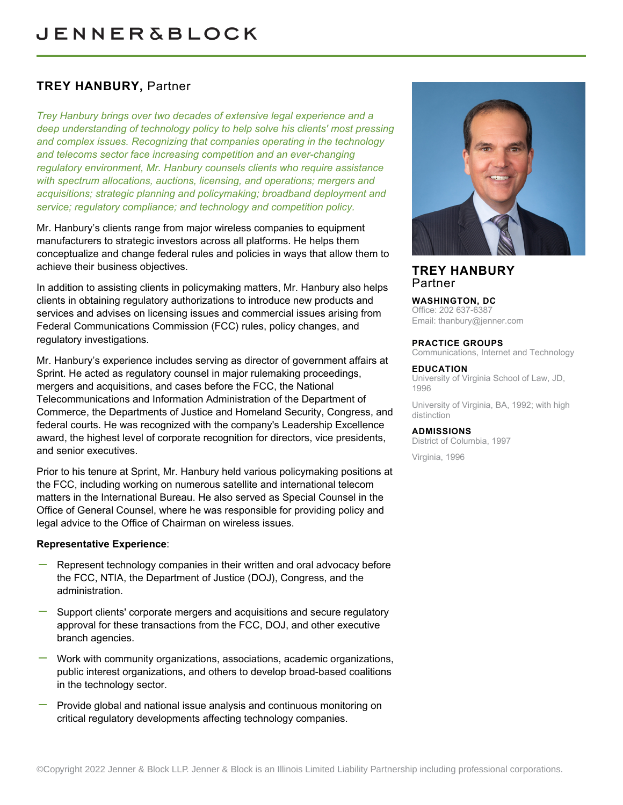# **TREY HANBURY,** Partner

*Trey Hanbury brings over two decades of extensive legal experience and a deep understanding of technology policy to help solve his clients' most pressing and complex issues. Recognizing that companies operating in the technology and telecoms sector face increasing competition and an ever-changing regulatory environment, Mr. Hanbury counsels clients who require assistance with spectrum allocations, auctions, licensing, and operations; mergers and acquisitions; strategic planning and policymaking; broadband deployment and service; regulatory compliance; and technology and competition policy.*

Mr. Hanbury's clients range from major wireless companies to equipment manufacturers to strategic investors across all platforms. He helps them conceptualize and change federal rules and policies in ways that allow them to achieve their business objectives.

In addition to assisting clients in policymaking matters, Mr. Hanbury also helps clients in obtaining regulatory authorizations to introduce new products and services and advises on licensing issues and commercial issues arising from Federal Communications Commission (FCC) rules, policy changes, and regulatory investigations.

Mr. Hanbury's experience includes serving as director of government affairs at Sprint. He acted as regulatory counsel in major rulemaking proceedings, mergers and acquisitions, and cases before the FCC, the National Telecommunications and Information Administration of the Department of Commerce, the Departments of Justice and Homeland Security, Congress, and federal courts. He was recognized with the company's Leadership Excellence award, the highest level of corporate recognition for directors, vice presidents, and senior executives.

Prior to his tenure at Sprint, Mr. Hanbury held various policymaking positions at the FCC, including working on numerous satellite and international telecom matters in the International Bureau. He also served as Special Counsel in the Office of General Counsel, where he was responsible for providing policy and legal advice to the Office of Chairman on wireless issues.

# **Representative Experience**:

- Represent technology companies in their written and oral advocacy before the FCC, NTIA, the Department of Justice (DOJ), Congress, and the administration.
- Support clients' corporate mergers and acquisitions and secure regulatory approval for these transactions from the FCC, DOJ, and other executive branch agencies.
- Work with community organizations, associations, academic organizations, public interest organizations, and others to develop broad-based coalitions in the technology sector.
- Provide global and national issue analysis and continuous monitoring on critical regulatory developments affecting technology companies.



# **TREY HANBURY** Partner

# **WASHINGTON, DC**

Office: 202 637-6387 Email: [thanbury@jenner.com](mailto:thanbury@jenner.com)

#### **PRACTICE GROUPS**

Communications, Internet and Technology

#### **EDUCATION**

University of Virginia School of Law, JD, 1996

University of Virginia, BA, 1992; with high distinction

#### **ADMISSIONS**

District of Columbia, 1997

Virginia, 1996